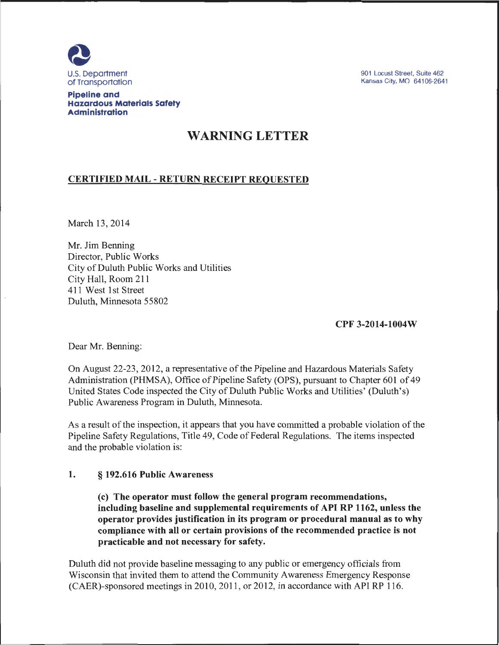

901 Locust Street, Suite 462 Kansas City, MO 64106-2641

#### Pipeline and Hazardous Materials Safety Administration

# WARNING LETTER

# CERTIFIED MAIL- RETURN RECEIPT REQUESTED

March 13, 2014

Mr. Jim Benning Director, Public Works City of Duluth Public Works and Utilities City Hall, Room 211 411 West 1st Street Duluth, Minnesota 55802

CPF 3-2014-1004W

Dear Mr. Benning:

On August 22-23, 2012, a representative of the Pipeline and Hazardous Materials Safety Administration (PHMSA), Office of Pipeline Safety (OPS), pursuant to Chapter 601 of 49 United States Code inspected the City of Duluth Public Works and Utilities' (Duluth's) Public Awareness Program in Duluth, Minnesota.

As a result of the inspection, it appears that you have committed a probable violation of the Pipeline Safety Regulations, Title 49, Code of Federal Regulations. The items inspected and the probable violation is:

## 1. § 192.616 Public Awareness

(c) The operator must follow the general program recommendations, including baseline and supplemental requirements of API RP 1162, unless the operator provides justification in its program or procedural manual as to why compliance with all or certain provisions of the recommended practice is not practicable and not necessary for safety.

Duluth did not provide baseline messaging to any public or emergency officials from Wisconsin that invited them to attend the Community Awareness Emergency Response (CAER)-sponsored meetings in 2010,2011 , or 2012, in accordance with API RP 116.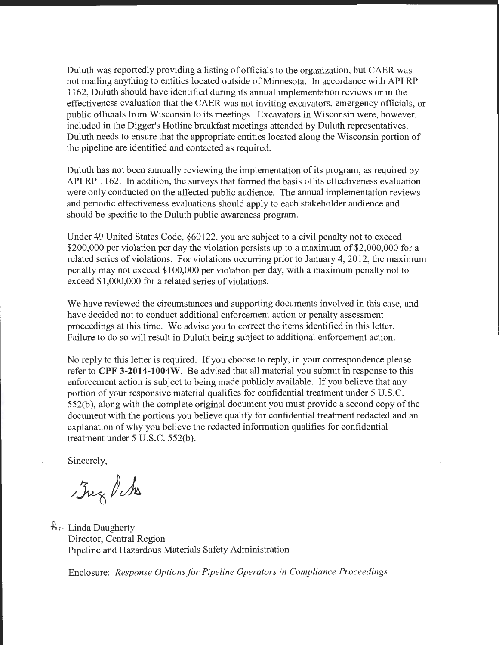Duluth was reportedly providing a listing of officials to the organization, but CAER was not mailing anything to entities located outside of Minnesota. In accordance with API RP 1162, Duluth should have identified during its annual implementation reviews or in the effectiveness evaluation that the CAER was not inviting excavators, emergency officials, or public officials from Wisconsin to its meetings. Excavators in Wisconsin were, however, included in the Digger's Hotline breakfast meetings attended by Duluth representatives. Duluth needs to ensure that the appropriate entities located along the Wisconsin portion of the pipeline are identified and contacted as required.

Duluth has not been annually reviewing the implementation of its program, as required by API RP 1162. In addition, the surveys that formed the basis of its effectiveness evaluation were only conducted on the affected public audience. The annual implementation reviews and periodic effectiveness evaluations should apply to each stakeholder audience and should be specific to the Duluth public awareness program.

Under 49 United States Code, §60122, you are subject to a civil penalty not to exceed \$200,000 per violation per day the violation persists up to a maximum of \$2,000,000 for a related series of violations. For violations occurring prior to January 4, 2012, the maximum penalty may not exceed \$100,000 per violation per day, with a maximum penalty not to exceed \$1,000,000 for a related series of violations.

We have reviewed the circumstances and supporting documents involved in this case, and have decided not to conduct additional enforcement action or penalty assessment proceedings at this time. We advise you to correct the items identified in this letter. Failure to do so will result in Duluth being subject to additional enforcement action.

No reply to this letter is required. If you choose to reply, in your correspondence please refer to **CPF 3-2014-1004W.** Be advised that all material you submit in response to this enforcement action is subject to being made publicly available. If you believe that any portion of your responsive material qualifies for confidential treatment under 5 U.S.C. 552(b), along with the complete original document you must provide a second copy of the document with the portions you believe qualify for confidential treatment redacted and an explanation of why you believe the redacted information qualifies for confidential treatment under 5 U.S.C. 552(b).

Sincerely,

 $J_{\text{avg}}$  d to

 $\lambda$  Linda Daugherty Director, Central Region Pipeline and Hazardous Materials Safety Administration

Enclosure: *Response Options for Pipeline Operators in Compliance Proceedings*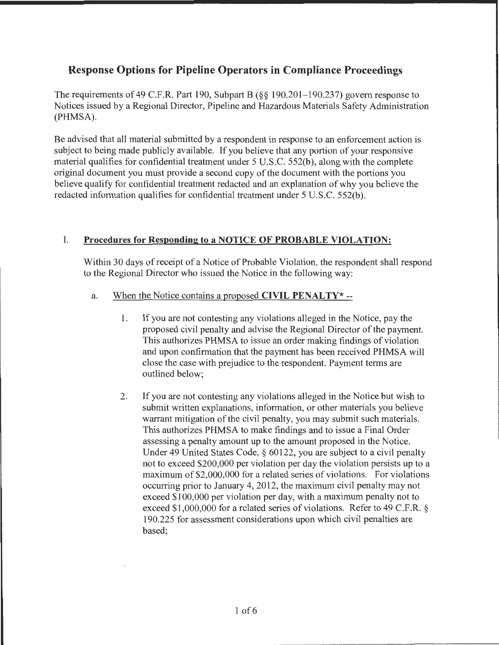# **Response Options for Pipeline Operators in Compliance Proceedings**

The requirements of 49 C.F.R. Part 190, Subpart B (§§ 190.201-190.237) govern response to Notices issued by a Regional Director, Pipeline and Hazardous Materials Safety Administration (PHMSA).

Be advised that all material submitted by a respondent in response to an enforcement action is subject to being made publicly available. If you believe that any portion of your responsive material qualifies for confidential treatment under 5 U.S.C. 552(b), along with the complete original document you must provide a second copy of the document with the portions you believe qualify for confidential treatment redacted and an explanation of why you believe the redacted information qualifies for confidential treatment under 5 U.S.C. 552(b).

# I. **Procedures for Responding to a NOTICE OF PROBABLE VIOLATION:**

Within 30 days of receipt of a Notice of Probable Violation, the respondent shall respond to the Regional Director who issued the Notice in the following way:

#### a. When the Notice contains a proposed **CIVIL PENALTY\*** --

- 1. If you are not contesting any violations alleged in the Notice, pay the proposed civil penalty and advise the Regional Director of the payment. This authorizes PHMSA to issue an order making findings of violation and upon confirmation that the payment has been received PHMSA will close the case with prejudice to the respondent. Payment terms are outlined below;
- 2. If you are not contesting any violations alleged in the Notice but wish to submit written explanations, information, or other materials you believe warrant mitigation of the civil penalty, you may submit such materials. This authorizes PHMSA to make findings and to issue a Final Order assessing a penalty amount up to the amount proposed in the Notice. Under 49 United States Code, § 60122, you are subject to a civil penalty not to exceed \$200,000 per violation per day the violation persists up to a maximum of \$2,000,000 for a related series of violations. For violations occurring prior to January 4, 2012, the maximum civil penalty may not exceed \$100,000 per violation per day, with a maximum penalty not to exceed \$1,000,000 for a related series of violations. Refer to 49 C.F.R. § 190.225 for assessment considerations upon which civil penalties are based;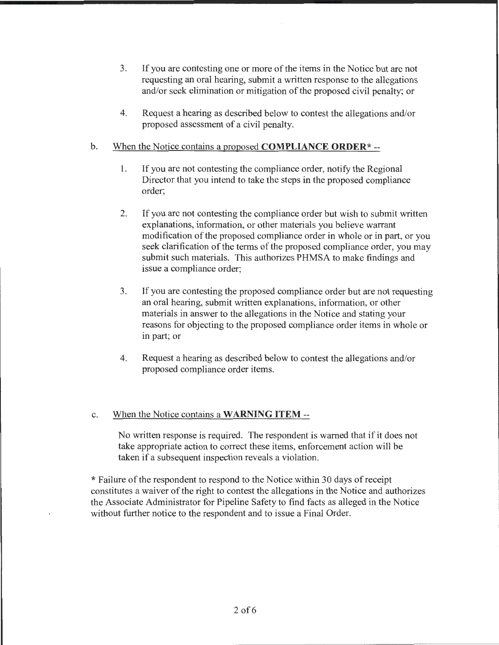- 3. If you are contesting one or more of the items in the Notice but are not requesting an oral hearing, submit a written response to the allegations and/or seek elimination or mitigation of the proposed civil penalty; or
- 4. Request a hearing as described below to contest the allegations and/or proposed assessment of a civil penalty.

#### b. When the Notice contains a proposed **COMPLIANCE ORDER\*** --

- 1. If you are not contesting the compliance order, notify the Regional Director that you intend to take the steps in the proposed compliance order;
- 2. If you are not contesting the compliance order but wish to submit written explanations, information, or other materials you believe warrant modification of the proposed compliance order in whole or in part, or you seek clarification of the terms of the proposed compliance order, you may submit such materials. This authorizes PHMSA to make findings and issue a compliance order;
- 3. If you are contesting the proposed compliance order but are not requesting an oral hearing, submit written explanations, information, or other materials in answer to the allegations in the Notice and stating your reasons for objecting to the proposed compliance order items in whole or in part; or
- 4. Request a hearing as described below to contest the allegations and/or proposed compliance order items.

#### c. When the Notice contains a **WARNING ITEM--**

No written response is required. The respondent is warned that if it does not take appropriate action to correct these items, enforcement action will be taken if a subsequent inspection reveals a violation.

\*Failure of the respondent to respond to the Notice within 30 days of receipt constitutes a waiver of the right to contest the allegations in the Notice and authorizes the Associate Administrator for Pipeline Safety to find facts as alleged in the Notice without further notice to the respondent and to issue a Final Order.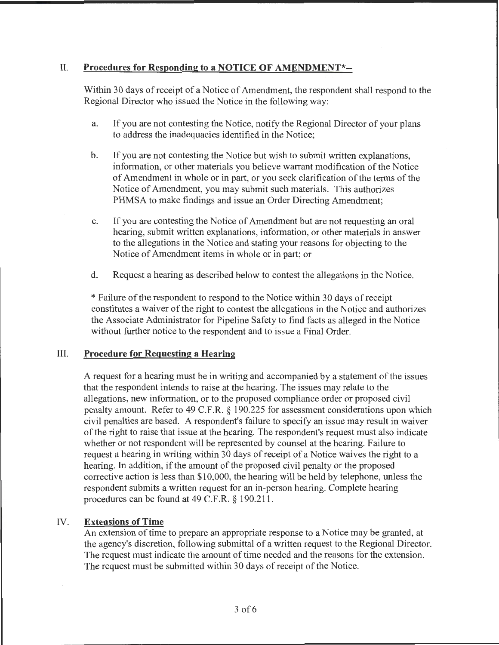# II. **Procedures for Responding to a NOTICE OF AMENDMENT\*--**

Within 30 days of receipt of a Notice of Amendment, the respondent shall respond to the Regional Director who issued the Notice in the following way:

- a. If you are not contesting the Notice, notify the Regional Director of your plans to address the inadequacies identified in the Notice;
- b. If you are not contesting the Notice but wish to submit written explanations, information, or other materials you believe warrant modification of the Notice of Amendment in whole or in part, or you seek clarification of the terms of the Notice of Amendment, you may submit such materials. This authorizes PHMSA to make findings and issue an Order Directing Amendment;
- c. If you are contesting the Notice of Amendment but are not requesting an oral hearing, submit written explanations, information, or other materials in answer to the allegations in the Notice and stating your reasons for objecting to the Notice of Amendment items in whole or in part; or
- d. Request a hearing as described below to contest the allegations in the Notice.

\* Failure of the respondent to respond to the Notice within 30 days of receipt constitutes a waiver of the right to contest the allegations in the Notice and authorizes the Associate Administrator for Pipeline Safety to find facts as alleged in the Notice without further notice to the respondent and to issue a Final Order.

## III. **Procedure for Requesting a Hearing**

A request for a hearing must be in writing and accompanied by a statement of the issues that the respondent intends to raise at the hearing. The issues may relate to the allegations, new information, or to the proposed compliance order or proposed civil penalty amount. Refer to 49 C.P.R. § 190.225 for assessment considerations upon which civil penalties are based. A respondent's failure to specify an issue may result in waiver of the right to raise that issue at the hearing. The respondent's request must also indicate whether or not respondent will be represented by counsel at the hearing. Failure to request a hearing in writing within 30 days of receipt of a Notice waives the right to a hearing. In addition, if the amount of the proposed civil penalty or the proposed corrective action is less than \$10,000, the hearing will be held by telephone, unless the respondent submits a written request for an in-person hearing. Complete hearing procedures can be found at 49 C.P.R.§ 190.211.

# IV. **Extensions of Time**

An extension of time to prepare an appropriate response to a Notice may be granted, at the agency's discretion, following submittal of a written request to the Regional Director. The request must indicate the amount of time needed and the reasons for the extension. The request must be submitted within 30 days of receipt of the Notice.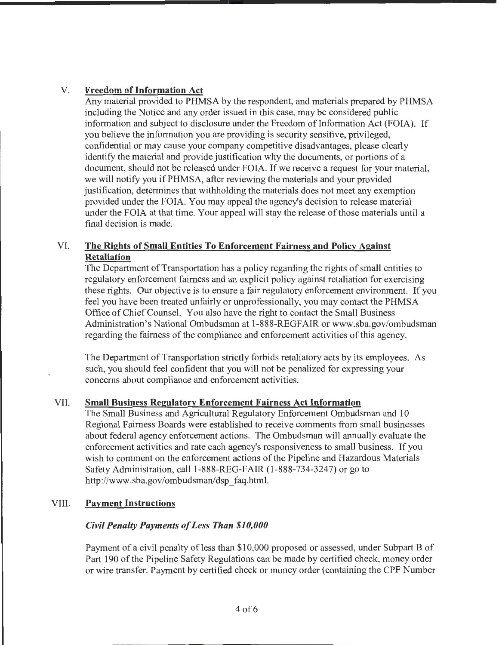# V. **Freedom of Information Act**

Any material provided to PHMSA by the respondent, and materials prepared by PHMSA including the Notice and any order issued in this case, may be considered public information and subject to disclosure under the Freedom of Information Act (FOIA). If you believe the information you are providing is security sensitive, privileged, confidential or may cause your company competitive disadvantages, please clearly identify the material and provide justification why the documents, or portions of a document, should not be released under FOIA. If we receive a request for your material, we will notify you if PHMSA, after reviewing the materials and your provided justification, determines that withholding the materials does not meet any exemption provided under the FOIA. You may appeal the agency's decision to release material under the FOIA at that time. Your appeal will stay the release of those materials until a final decision is made.

# VI. **The Rights of Small Entities To Enforcement Fairness and Policy Against Retaliation**

The Department of Transportation has a policy regarding the rights of small entities to regulatory enforcement fairness and an explicit policy against retaliation for exercising these rights. Our objective is to ensure a fair regulatory enforcement environment. If you feel you have been treated unfairly or unprofessionally, you may contact the PHMSA Office of Chief Counsel. You also have the right to contact the Small Business Administration's National Ombudsman at 1-888-REGF AIR or www.sba.gov/ombudsman regarding the fairness of the compliance and enforcement activities of this agency.

The Department of Transportation strictly forbids retaliatory acts by its employees. As such, you should feel confident that you will not be penalized for expressing your concerns about compliance and enforcement activities.

## VII. **Small Business Regulatory Enforcement Fairness Act Information**

The Small Business and Agricultural Regulatory Enforcement Ombudsman and 10 Regional Fairness Boards were established to receive comments from small businesses about federal agency enforcement actions. The Ombudsman will annually evaluate the enforcement activities and rate each agency's responsiveness to small business. If you wish to comment on the enforcement actions of the Pipeline and Hazardous Materials Safety Administration, call 1-888-REG-FAIR (1-888-734-3247) or go to http://www.sba.gov/ombudsman/dsp\_faq.html.

## VIII. **Payment Instructions**

## *Civil Penalty Payments of Less Than \$10,000*

Payment of a civil penalty of less than \$10,000 proposed or assessed, under Subpart B of Part 190 of the Pipeline Safety Regulations can be made by certified check, money order or wire transfer. Payment by certified check or money order (containing the CPF Number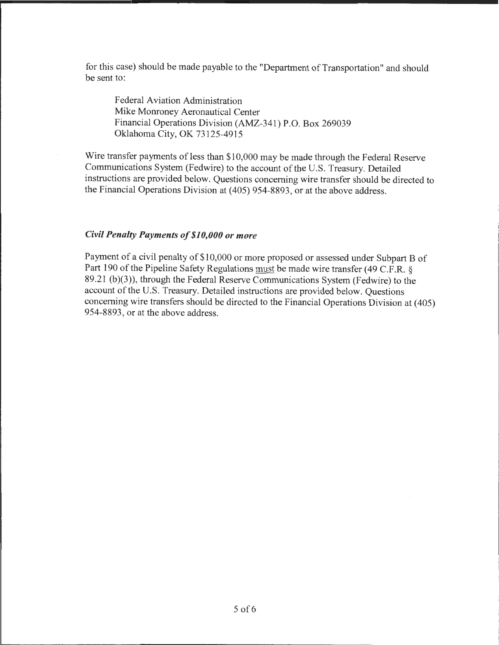for this case) should be made payable to the "Department of Transportation" and should be sent to:

Federal Aviation Administration Mike Monroney Aeronautical Center Financial Operations Division (AMZ-341) P.O. Box 269039 Oklahoma City, OK 73125-4915

Wire transfer payments of less than \$10,000 may be made through the Federal Reserve Communications System (Fedwire) to the account of the U.S. Treasury. Detailed instructions are provided below. Questions concerning wire transfer should be directed to the Financial Operations Division at (405) 954-8893, or at the above address.

#### *Civil Penalty Payments of\$10,000 or more*

Payment of a civil penalty of \$10,000 or more proposed or assessed under Subpart B of Part 190 of the Pipeline Safety Regulations must be made wire transfer (49 C.F.R. § 89.21 (b)(3)), through the Federal Reserve Communications System (Fedwire) to the account of the U.S. Treasury. Detailed instructions are provided below. Questions concerning wire transfers should be directed to the Financial Operations Division at (405) 954-8893, or at the above address.